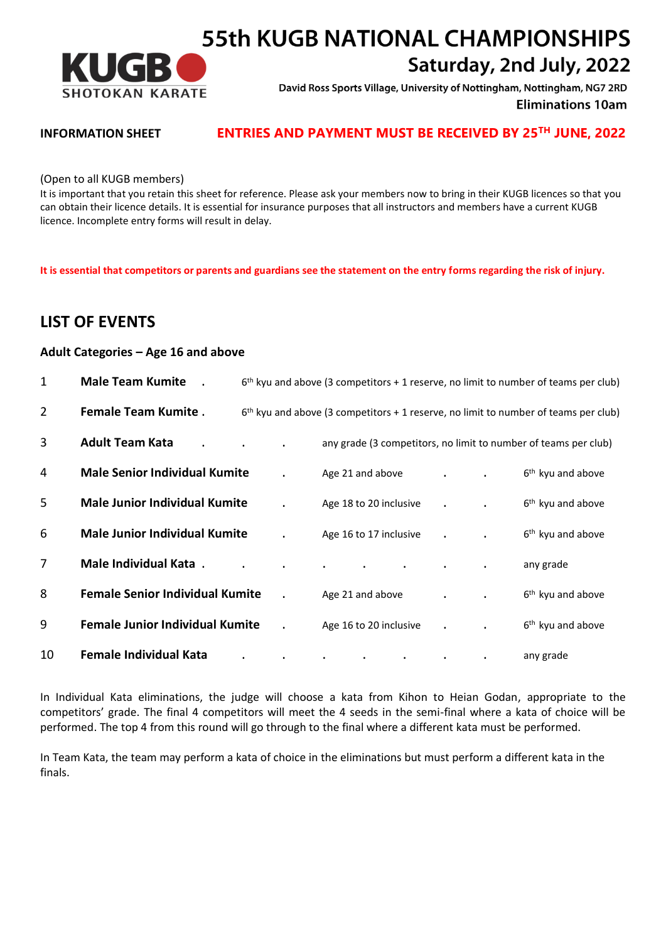

# **55th KUGB NATIONAL CHAMPIONSHIPS** Saturday, 2nd July, 2022

David Ross Sports Village, University of Nottingham, Nottingham, NG7 2RD **Eliminations 10am** 

## **INFORMATION SHEET <b>ENTRIES AND PAYMENT MUST BE RECEIVED BY 25<sup>TH</sup> JUNE, 2022**

(Open to all KUGB members)

It is important that you retain this sheet for reference. Please ask your members now to bring in their KUGB licences so that you can obtain their licence details. It is essential for insurance purposes that all instructors and members have a current KUGB licence. Incomplete entry forms will result in delay.

**It is essential that competitors or parents and guardians see the statement on the entry forms regarding the risk of injury.**

# **LIST OF EVENTS**

#### **Adult Categories – Age 16 and above**

| 1              | <b>Male Team Kumite</b>                |  |                        |         | $6th$ kyu and above (3 competitors + 1 reserve, no limit to number of teams per club) |
|----------------|----------------------------------------|--|------------------------|---------|---------------------------------------------------------------------------------------|
| $\overline{2}$ | <b>Female Team Kumite.</b>             |  |                        |         | $6th$ kyu and above (3 competitors + 1 reserve, no limit to number of teams per club) |
| 3              | <b>Adult Team Kata</b>                 |  |                        |         | any grade (3 competitors, no limit to number of teams per club)                       |
| 4              | <b>Male Senior Individual Kumite</b>   |  | Age 21 and above       |         | 6 <sup>th</sup> kyu and above                                                         |
| 5              | <b>Male Junior Individual Kumite</b>   |  | Age 18 to 20 inclusive |         | 6 <sup>th</sup> kyu and above                                                         |
| 6              | <b>Male Junior Individual Kumite</b>   |  | Age 16 to 17 inclusive |         | 6 <sup>th</sup> kyu and above                                                         |
| 7              | Male Individual Kata .                 |  |                        |         | any grade                                                                             |
| 8              | <b>Female Senior Individual Kumite</b> |  | Age 21 and above       |         | 6 <sup>th</sup> kyu and above                                                         |
| 9              | <b>Female Junior Individual Kumite</b> |  | Age 16 to 20 inclusive | $\cdot$ | 6 <sup>th</sup> kyu and above                                                         |
| 10             | <b>Female Individual Kata</b>          |  |                        |         | any grade                                                                             |

In Individual Kata eliminations, the judge will choose a kata from Kihon to Heian Godan, appropriate to the competitors' grade. The final 4 competitors will meet the 4 seeds in the semi-final where a kata of choice will be performed. The top 4 from this round will go through to the final where a different kata must be performed.

In Team Kata, the team may perform a kata of choice in the eliminations but must perform a different kata in the finals.